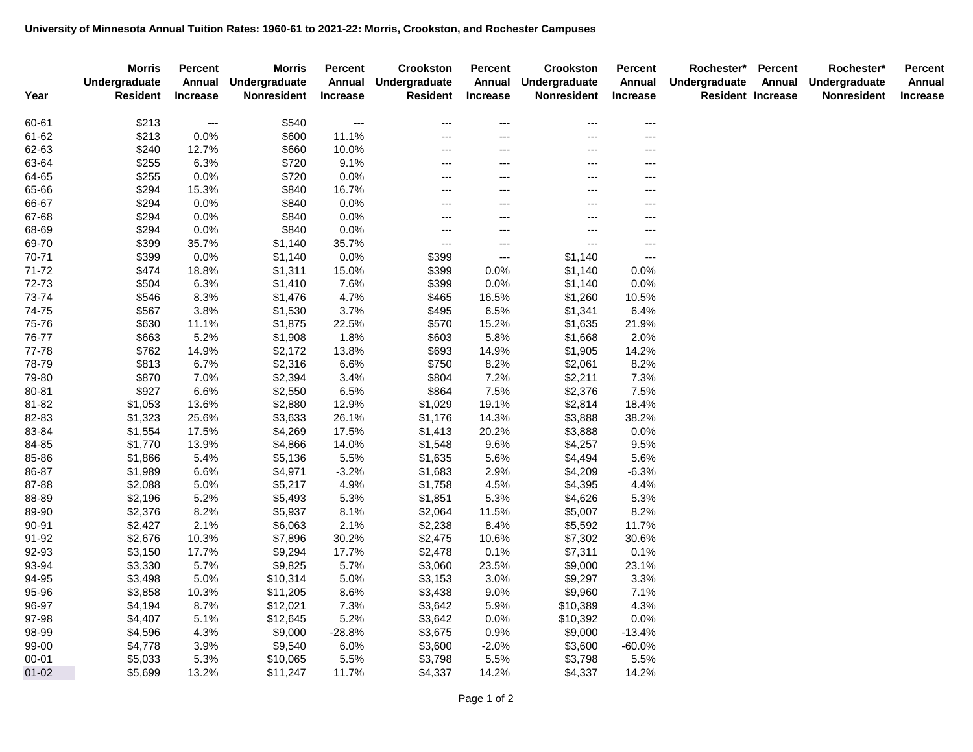|           | <b>Morris</b><br>Undergraduate | <b>Percent</b><br>Annual | <b>Morris</b><br>Undergraduate | <b>Percent</b><br>Annual | Crookston<br>Undergraduate | <b>Percent</b><br>Annual | Crookston<br>Undergraduate | Percent<br>Annual   | Rochester*<br>Undergraduate | <b>Percent</b><br>Annual | Rochester*<br>Undergraduate | <b>Percent</b><br>Annual |
|-----------|--------------------------------|--------------------------|--------------------------------|--------------------------|----------------------------|--------------------------|----------------------------|---------------------|-----------------------------|--------------------------|-----------------------------|--------------------------|
| Year      | <b>Resident</b>                | <b>Increase</b>          | <b>Nonresident</b>             | <b>Increase</b>          | <b>Resident</b>            | <b>Increase</b>          | Nonresident                | <b>Increase</b>     | <b>Resident Increase</b>    |                          | Nonresident                 | <b>Increase</b>          |
| 60-61     | \$213                          | $\cdots$                 | \$540                          | $---$                    | ---                        | $---$                    | ---                        | $\qquad \qquad - -$ |                             |                          |                             |                          |
| 61-62     | \$213                          | 0.0%                     | \$600                          | 11.1%                    | ---                        | ---                      | $---$                      | $---$               |                             |                          |                             |                          |
| 62-63     | \$240                          | 12.7%                    | \$660                          | 10.0%                    | ---                        | ---                      | ---                        | $---$               |                             |                          |                             |                          |
| 63-64     | \$255                          | 6.3%                     | \$720                          | 9.1%                     | ---                        | ---                      | ---                        | $---$               |                             |                          |                             |                          |
| 64-65     | \$255                          | 0.0%                     | \$720                          | 0.0%                     | $---$                      | ---                      | ---                        | $---$               |                             |                          |                             |                          |
| 65-66     | \$294                          | 15.3%                    | \$840                          | 16.7%                    | $---$                      | ---                      | ---                        | $---$               |                             |                          |                             |                          |
| 66-67     | \$294                          | 0.0%                     | \$840                          | 0.0%                     | $---$                      | ---                      | ---                        | $---$               |                             |                          |                             |                          |
| 67-68     | \$294                          | 0.0%                     | \$840                          | 0.0%                     | ---                        | ---                      | ---                        | $---$               |                             |                          |                             |                          |
| 68-69     | \$294                          | 0.0%                     | \$840                          | 0.0%                     | ---                        | ---                      | ---                        | $---$               |                             |                          |                             |                          |
| 69-70     | \$399                          | 35.7%                    | \$1,140                        | 35.7%                    | $---$                      | $\cdots$                 | ---                        | $---$               |                             |                          |                             |                          |
| 70-71     | \$399                          | 0.0%                     | \$1,140                        | 0.0%                     | \$399                      | $\scriptstyle\cdots$     | \$1,140                    | $---$               |                             |                          |                             |                          |
| $71 - 72$ | \$474                          | 18.8%                    | \$1,311                        | 15.0%                    | \$399                      | 0.0%                     | \$1,140                    | 0.0%                |                             |                          |                             |                          |
| 72-73     | \$504                          | 6.3%                     | \$1,410                        | 7.6%                     | \$399                      | 0.0%                     | \$1,140                    | 0.0%                |                             |                          |                             |                          |
| 73-74     | \$546                          | 8.3%                     | \$1,476                        | 4.7%                     | \$465                      | 16.5%                    | \$1,260                    | 10.5%               |                             |                          |                             |                          |
| 74-75     | \$567                          | 3.8%                     | \$1,530                        | 3.7%                     | \$495                      | 6.5%                     | \$1,341                    | 6.4%                |                             |                          |                             |                          |
| 75-76     | \$630                          | 11.1%                    | \$1,875                        | 22.5%                    | \$570                      | 15.2%                    | \$1,635                    | 21.9%               |                             |                          |                             |                          |
| 76-77     | \$663                          | 5.2%                     | \$1,908                        | 1.8%                     | \$603                      | 5.8%                     | \$1,668                    | 2.0%                |                             |                          |                             |                          |
| 77-78     | \$762                          | 14.9%                    | \$2,172                        | 13.8%                    | \$693                      | 14.9%                    | \$1,905                    | 14.2%               |                             |                          |                             |                          |
| 78-79     | \$813                          | 6.7%                     | \$2,316                        | 6.6%                     | \$750                      | 8.2%                     | \$2,061                    | 8.2%                |                             |                          |                             |                          |
| 79-80     | \$870                          | 7.0%                     | \$2,394                        | 3.4%                     | \$804                      | 7.2%                     | \$2,211                    | 7.3%                |                             |                          |                             |                          |
| 80-81     | \$927                          | 6.6%                     | \$2,550                        | 6.5%                     | \$864                      | 7.5%                     | \$2,376                    | 7.5%                |                             |                          |                             |                          |
| 81-82     | \$1,053                        | 13.6%                    | \$2,880                        | 12.9%                    | \$1,029                    | 19.1%                    | \$2,814                    | 18.4%               |                             |                          |                             |                          |
| 82-83     | \$1,323                        | 25.6%                    | \$3,633                        | 26.1%                    | \$1,176                    | 14.3%                    | \$3,888                    | 38.2%               |                             |                          |                             |                          |
| 83-84     | \$1,554                        | 17.5%                    | \$4,269                        | 17.5%                    | \$1,413                    | 20.2%                    | \$3,888                    | 0.0%                |                             |                          |                             |                          |
| 84-85     | \$1,770                        | 13.9%                    | \$4,866                        | 14.0%                    | \$1,548                    | 9.6%                     | \$4,257                    | 9.5%                |                             |                          |                             |                          |
| 85-86     | \$1,866                        | 5.4%                     | \$5,136                        | 5.5%                     | \$1,635                    | 5.6%                     | \$4,494                    | 5.6%                |                             |                          |                             |                          |
| 86-87     | \$1,989                        | 6.6%                     | \$4,971                        | $-3.2%$                  | \$1,683                    | 2.9%                     | \$4,209                    | -6.3%               |                             |                          |                             |                          |
| 87-88     | \$2,088                        | 5.0%                     | \$5,217                        | 4.9%                     | \$1,758                    | 4.5%                     | \$4,395                    | 4.4%                |                             |                          |                             |                          |
| 88-89     | \$2,196                        | 5.2%                     | \$5,493                        | 5.3%                     | \$1,851                    | 5.3%                     | \$4,626                    | 5.3%                |                             |                          |                             |                          |
| 89-90     | \$2,376                        | 8.2%                     | \$5,937                        | 8.1%                     | \$2,064                    | 11.5%                    | \$5,007                    | 8.2%                |                             |                          |                             |                          |
| 90-91     | \$2,427                        | 2.1%                     | \$6,063                        | 2.1%                     | \$2,238                    | 8.4%                     | \$5,592                    | 11.7%               |                             |                          |                             |                          |
| 91-92     | \$2,676                        | 10.3%                    | \$7,896                        | 30.2%                    | \$2,475                    | 10.6%                    | \$7,302                    | 30.6%               |                             |                          |                             |                          |
| 92-93     | \$3,150                        | 17.7%                    | \$9,294                        | 17.7%                    | \$2,478                    | 0.1%                     | \$7,311                    | 0.1%                |                             |                          |                             |                          |
| 93-94     | \$3,330                        | 5.7%                     | \$9,825                        | 5.7%                     | \$3,060                    | 23.5%                    | \$9,000                    | 23.1%               |                             |                          |                             |                          |
| 94-95     | \$3,498                        | 5.0%                     | \$10,314                       | 5.0%                     | \$3,153                    | 3.0%                     | \$9,297                    | 3.3%                |                             |                          |                             |                          |
| 95-96     | \$3,858                        | 10.3%                    | \$11,205                       | 8.6%                     | \$3,438                    | 9.0%                     | \$9,960                    | 7.1%                |                             |                          |                             |                          |
| 96-97     | \$4,194                        | 8.7%                     | \$12,021                       | 7.3%                     | \$3,642                    | 5.9%                     | \$10,389                   | 4.3%                |                             |                          |                             |                          |
| 97-98     | \$4,407                        | 5.1%                     | \$12,645                       | 5.2%                     | \$3,642                    | 0.0%                     | \$10,392                   | 0.0%                |                             |                          |                             |                          |
| 98-99     | \$4,596                        | 4.3%                     | \$9,000                        | $-28.8%$                 | \$3,675                    | 0.9%                     | \$9,000                    | $-13.4%$            |                             |                          |                             |                          |
| 99-00     | \$4,778                        | 3.9%                     | \$9,540                        | 6.0%                     | \$3,600                    | $-2.0%$                  | \$3,600                    | $-60.0\%$           |                             |                          |                             |                          |
| 00-01     | \$5,033                        | 5.3%                     | \$10,065                       | 5.5%                     | \$3,798                    | 5.5%                     | \$3,798                    | 5.5%                |                             |                          |                             |                          |
| $01 - 02$ | \$5,699                        | 13.2%                    | \$11,247                       | 11.7%                    | \$4,337                    | 14.2%                    | \$4,337                    | 14.2%               |                             |                          |                             |                          |